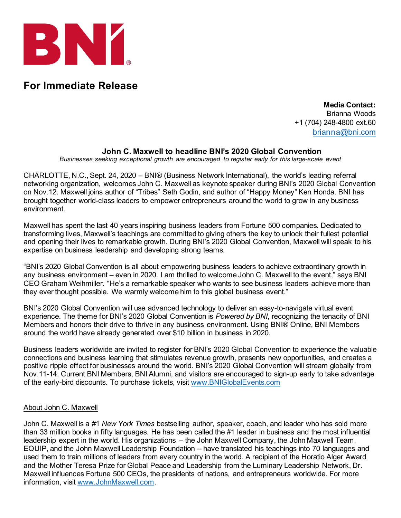

## **For Immediate Release**

**Media Contact:** Brianna Woods +1 (704) 248-4800 ext.60 [brianna@bni.com](mailto:brianna@bni.com)

## **John C. Maxwell to headline BNI's 2020 Global Convention**

*Businesses seeking exceptional growth are encouraged to register early for this large-scale event*

CHARLOTTE, N.C., Sept. 24, 2020 – BNI® (Business Network International), the world's leading referral networking organization, welcomes John C. Maxwell as keynote speaker during BNI's 2020 Global Convention on Nov.12. Maxwell joins author of "Tribes" Seth Godin, and author of "Happy Money" Ken Honda. BNI has brought together world-class leaders to empower entrepreneurs around the world to grow in any business environment.

Maxwell has spent the last 40 years inspiring business leaders from Fortune 500 companies. Dedicated to transforming lives, Maxwell's teachings are committed to giving others the key to unlock their fullest potential and opening their lives to remarkable growth. During BNI's 2020 Global Convention, Maxwell will speak to his expertise on business leadership and developing strong teams.

"BNI's 2020 Global Convention is all about empowering business leaders to achieve extraordinary growth in any business environment – even in 2020. I am thrilled to welcome John C. Maxwell to the event," says BNI CEO Graham Weihmiller. "He's a remarkable speaker who wants to see business leaders achieve more than they ever thought possible. We warmly welcome him to this global business event."

BNI's 2020 Global Convention will use advanced technology to deliver an easy-to-navigate virtual event experience. The theme for BNI's 2020 Global Convention is *Powered by BNI*, recognizing the tenacity of BNI Members and honors their drive to thrive in any business environment. Using BNI® Online, BNI Members around the world have already generated over \$10 billion in business in 2020.

Business leaders worldwide are invited to register for BNI's 2020 Global Convention to experience the valuable connections and business learning that stimulates revenue growth, presents new opportunities, and creates a positive ripple effect for businesses around the world. BNI's 2020 Global Convention will stream globally from Nov.11-14. Current BNI Members, BNI Alumni, and visitors are encouraged to sign-up early to take advantage of the early-bird discounts. To purchase tickets, visit [www.BNIGlobalEvents.com](http://www.bniglobalevents.com/)

## About John C. Maxwell

John C. Maxwell is a #1 *New York Times* bestselling author, speaker, coach, and leader who has sold more than 33 million books in fifty languages. He has been called the #1 leader in business and the most influential leadership expert in the world. His organizations – the John Maxwell Company, the John Maxwell Team, EQUIP, and the John Maxwell Leadership Foundation – have translated his teachings into 70 languages and used them to train millions of leaders from every country in the world. A recipient of the Horatio Alger Award and the Mother Teresa Prize for Global Peace and Leadership from the Luminary Leadership Network, Dr. Maxwell influences Fortune 500 CEOs, the presidents of nations, and entrepreneurs worldwide. For more information, visit [www.JohnMaxwell.com](http://www.johnmaxwell.com/).